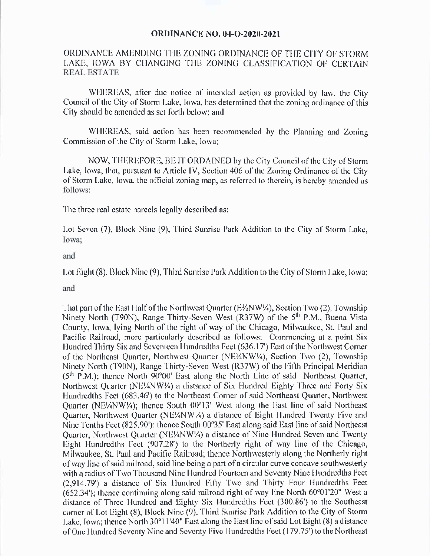## **ORDINANCE NO. 04-O-2020-2021**

## ORDINANCE AMENDING THE ZONING ORDINANCE OF THE CITY OF STORM LAKE, IOWA BY CHANGING THE ZONING CLASSIFICATION OF CERTAIN REAL ESTATE

WHEREAS, after due notice of intended action as provided by law, the City Council of the City of Storm Lake, Iowa, has determined that the zoning ordinance of this City should be amended as set forth below; and

WHEREAS, said action has been recommended by the Planning and Zoning Commission of the City of Storm Lake, Iowa;

NOW, THEREFORE, BE IT ORDAINED by the City Council ofthe City of Storm Lake, Iowa, that, pursuant to Article IV, Section 406 of the Zoning Ordinance of the City of Storm Lake, Iowa, the official zoning map, as referred to therein, is hereby amended as follows:

The three real estate parcels legally described as:

Lot Seven (7), Block Nine (9), Third Sunrise Park Addition to the City of Storm Lake, Iowa;

## and

Lot Eight (8), Block Nine (9), Third Sunrise Park Addition to the City of Storm Lake, Iowa;

## and

That part of the East Half of the Northwest Quarter (E%NW%), Section Two (2), Township Ninety North (T90N), Range Thirty-Seven West (R37W) of the 5<sup>th</sup> P.M., Buena Vista County, Iowa, lying North of the right of way of the Chicago, Milwaukee, St. Paul and Pacific Railroad, more particularly described as follows: Commencing at a point Six Hundred Thirty Six and Seventeen Hundredths Feet (636.17') East of the Northwest Corner of the Northeast Quarter, Northwest Quarter (NE¼NW¼), Section Two (2), Township Ninety North (T90N), Range Thirty-Seven West (R37W) of the Fifth Principal Meridian  $(5<sup>th</sup>$  P.M.); thence North 90 $\degree$ 00' East along the North Line of said Northeast Quarter, Northwest Quarter (NE\/4NW\/4) a distance of Six Hundred Eighty Three and Forty Six Hundredths Feet (683.46') to the Northeast Corner of said Northeast Quarter, Northwest Quarter (NE\MW\A); thence South 00°13' West along the East line of said Northeast Quarter, Northwest Quarter (NE\/ANW\/4) a distance of Eight Hundred Twenty Five and Nine Tenths Feet (825.90'); thence South  $00^{\circ}35'$  East along said East line of said Northeast Quarter, Northwest Quarter (NE¼ NW¼) a distance of Nine Hundred Seven and Twenty Eight Hundredths Feet (907.28') to the Northerly right of way line of the Chicago, Milwaukee, St. Paul and Pacific Railroad; thence Northwesterly along the Northerly right of way line of said railroad, said line being a part of a circular curve concave southwesterly with a radius of Two Thousand Nine Hundred Fourteen and Seventy Nine Hundredths Feet 2,914.79') a distance of Six Hundred Fifty Two and Thirty Four Hundredths Feet  $(652.34')$ ; thence continuing along said railroad right of way line North  $60^{\circ}01'20''$  West a distance of Three Hundred and Eighty Six Hundredths Feet ( 300. 86') to the Southeast corner of Lot Eight (8), Block Nine (9), Third Sunrise Park Addition to the City of Storm Lake, Iowa; thence North 30°11'40" East along the East line of said Lot Eight (8) a distance ofOne Hundred Seventy Nine and Seventy Five Hundredths Feet (179. 75') to the Northeast